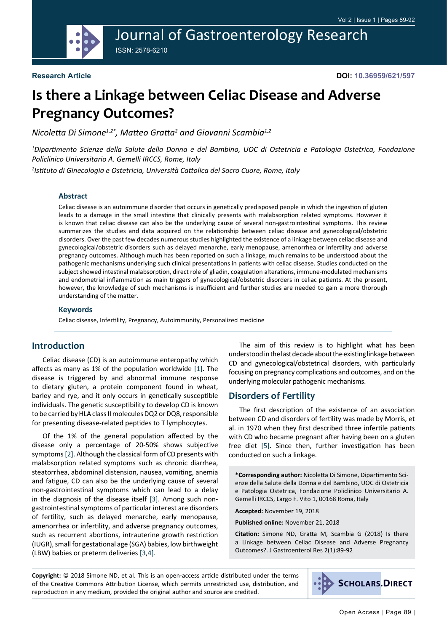## Journal of Gastroenterology Research ISSN: 2578-6210

**Research Article**

# **Is there a Linkage between Celiac Disease and Adverse Pregnancy Outcomes?**

*Nicoletta Di Simone1,2\*, Matteo Gratta<sup>2</sup> and Giovanni Scambia1,2*

*1 Dipartimento Scienze della Salute della Donna e del Bambino, UOC di Ostetricia e Patologia Ostetrica, Fondazione Policlinico Universitario A. Gemelli IRCCS, Rome, Italy*

*2 Istituto di Ginecologia e Ostetricia, Università Cattolica del Sacro Cuore, Rome, Italy*

#### **Abstract**

Celiac disease is an autoimmune disorder that occurs in genetically predisposed people in which the ingestion of gluten leads to a damage in the small intestine that clinically presents with malabsorption related symptoms. However it is known that celiac disease can also be the underlying cause of several non-gastrointestinal symptoms. This review summarizes the studies and data acquired on the relationship between celiac disease and gynecological/obstetric disorders. Over the past few decades numerous studies highlighted the existence of a linkage between celiac disease and gynecological/obstetric disorders such as delayed menarche, early menopause, amenorrhea or infertility and adverse pregnancy outcomes. Although much has been reported on such a linkage, much remains to be understood about the pathogenic mechanisms underlying such clinical presentations in patients with celiac disease. Studies conducted on the subject showed intestinal malabsorption, direct role of gliadin, coagulation alterations, immune-modulated mechanisms and endometrial inflammation as main triggers of gynecological/obstetric disorders in celiac patients. At the present, however, the knowledge of such mechanisms is insufficient and further studies are needed to gain a more thorough understanding of the matter.

#### **Keywords**

Celiac disease, Infertility, Pregnancy, Autoimmunity, Personalized medicine

#### **Introduction**

Celiac disease (CD) is an autoimmune enteropathy which affects as many as 1% of the population worldwide [[1\]](#page-2-0). The disease is triggered by and abnormal immune response to dietary gluten, a protein component found in wheat, barley and rye, and it only occurs in genetically susceptible individuals. The genetic susceptibility to develop CD is known to be carried by HLA class II molecules DQ2 or DQ8, responsible for presenting disease-related peptides to T lymphocytes.

Of the 1% of the general population affected by the disease only a percentage of 20-50% shows subjective symptoms [[2\]](#page-2-1). Although the classical form of CD presents with malabsorption related symptoms such as chronic diarrhea, steatorrhea, abdominal distension, nausea, vomiting, anemia and fatigue, CD can also be the underlying cause of several non-gastrointestinal symptoms which can lead to a delay in the diagnosis of the disease itself [\[3](#page-2-2)]. Among such nongastrointestinal symptoms of particular interest are disorders of fertility, such as delayed menarche, early menopause, amenorrhea or infertility, and adverse pregnancy outcomes, such as recurrent abortions, intrauterine growth restriction (IUGR), small for gestational age (SGA) babies, low birthweight (LBW) babies or preterm deliveries [\[3](#page-2-2),[4\]](#page-2-3).

The aim of this review is to highlight what has been understood in the last decade about the existing linkage between CD and gynecological/obstetrical disorders, with particularly focusing on pregnancy complications and outcomes, and on the underlying molecular pathogenic mechanisms.

#### **Disorders of Fertility**

The first description of the existence of an association between CD and disorders of fertility was made by Morris, et al. in 1970 when they first described three infertile patients with CD who became pregnant after having been on a gluten free diet [\[5](#page-2-4)]. Since then, further investigation has been conducted on such a linkage.

**\*Corresponding author:** Nicoletta Di Simone, Dipartimento Scienze della Salute della Donna e del Bambino, UOC di Ostetricia e Patologia Ostetrica, Fondazione Policlinico Universitario A. Gemelli IRCCS, Largo F. Vito 1, 00168 Roma, Italy

**Accepted:** November 19, 2018

**Published online:** November 21, 2018

**Citation:** Simone ND, Gratta M, Scambia G (2018) Is there a Linkage between Celiac Disease and Adverse Pregnancy Outcomes?. J Gastroenterol Res 2(1):89-92

**Copyright:** © 2018 Simone ND, et al. This is an open-access article distributed under the terms of the Creative Commons Attribution License, which permits unrestricted use, distribution, and reproduction in any medium, provided the original author and source are credited.

**SCHOLARS.DIRECT**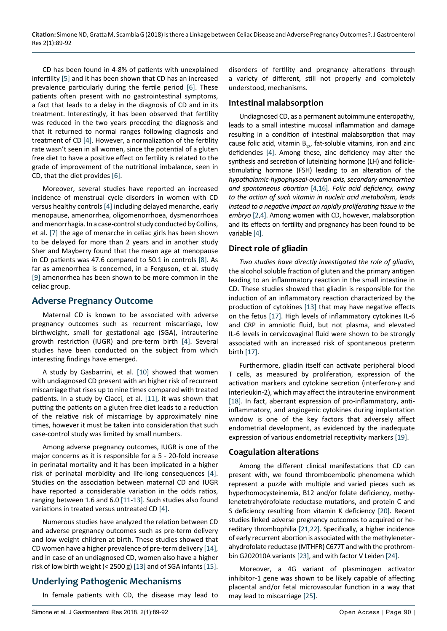CD has been found in 4-8% of patients with unexplained infertility [\[5](#page-2-4)] and it has been shown that CD has an increased prevalence particularly during the fertile period [[6\]](#page-3-11). These patients often present with no gastrointestinal symptoms, a fact that leads to a delay in the diagnosis of CD and in its treatment. Interestingly, it has been observed that fertility was reduced in the two years preceding the diagnosis and that it returned to normal ranges following diagnosis and treatment of CD [\[4](#page-2-3)]. However, a normalization of the fertility rate wasn't seen in all women, since the potential of a gluten free diet to have a positive effect on fertility is related to the grade of improvement of the nutritional imbalance, seen in CD, that the diet provides [\[6](#page-3-11)].

Moreover, several studies have reported an increased incidence of menstrual cycle disorders in women with CD versus healthy controls [[4\]](#page-2-3) including delayed menarche, early menopause, amenorrhea, oligomenorrhoea, dysmenorrhoea and menorrhagia. In a case-control study conducted by Collins, et al. [\[7](#page-3-12)] the age of menarche in celiac girls has been shown to be delayed for more than 2 years and in another study Sher and Mayberry found that the mean age at menopause in CD patients was 47.6 compared to 50.1 in controls [\[8](#page-3-13)]. As far as amenorrhea is concerned, in a Ferguson, et al. study [[9\]](#page-3-14) amenorrhea has been shown to be more common in the celiac group.

#### **Adverse Pregnancy Outcome**

Maternal CD is known to be associated with adverse pregnancy outcomes such as recurrent miscarriage, low birthweight, small for gestational age (SGA), intrauterine growth restriction (IUGR) and pre-term birth [\[4](#page-2-3)]. Several studies have been conducted on the subject from which interesting findings have emerged.

A study by Gasbarrini, et al. [\[10\]](#page-3-15) showed that women with undiagnosed CD present with an higher risk of recurrent miscarriage that rises up to nine times compared with treated patients. In a study by Ciacci, et al. [\[11](#page-3-16)], it was shown that putting the patients on a gluten free diet leads to a reduction of the relative risk of miscarriage by approximately nine times, however it must be taken into consideration that such case-control study was limited by small numbers.

Among adverse pregnancy outcomes, IUGR is one of the major concerns as it is responsible for a 5 - 20-fold increase in perinatal mortality and it has been implicated in a higher risk of perinatal morbidity and life-long consequences [[4\]](#page-2-3). Studies on the association between maternal CD and IUGR have reported a considerable variation in the odds ratios, ranging between 1.6 and 6.0 [[11](#page-3-16)[-13](#page-3-1)]. Such studies also found variations in treated versus untreated CD [\[4](#page-2-3)].

Numerous studies have analyzed the relation between CD and adverse pregnancy outcomes such as pre-term delivery and low weight children at birth. These studies showed that CD women have a higher prevalence of pre-term delivery [[14](#page-3-17)], and in case of an undiagnosed CD, women also have a higher risk of low birth weight (< 2500 g) [\[13](#page-3-1)] and of SGA infants [[15\]](#page-3-18).

### **Underlying Pathogenic Mechanisms**

In female patients with CD, the disease may lead to

disorders of fertility and pregnancy alterations through a variety of different, still not properly and completely understood, mechanisms.

#### **Intestinal malabsorption**

Undiagnosed CD, as a permanent autoimmune enteropathy, leads to a small intestine mucosal inflammation and damage resulting in a condition of intestinal malabsorption that may cause folic acid, vitamin  $B_{12}$ , fat-soluble vitamins, iron and zinc deficiencies [[4](#page-2-3)]. Among these, zinc deficiency may alter the synthesis and secretion of luteinizing hormone (LH) and folliclestimulating hormone (FSH) leading to an alteration of the *hypothalamic-hypophyseal-ovarian axis, secondary amenorrhea and spontaneous abortion* [\[4](#page-2-3)[,16\]](#page-3-0). *Folic acid deficiency, owing to the action of such vitamin in nucleic acid metabolism, leads instead to a negative impact on rapidly proliferating tissue in the embryo* [[2](#page-2-1),[4\]](#page-2-3). Among women with CD, however, malabsorption and its effects on fertility and pregnancy has been found to be variable [\[4](#page-2-3)].

#### **Direct role of gliadin**

*Two studies have directly investigated the role of gliadin,*  the alcohol soluble fraction of gluten and the primary antigen leading to an inflammatory reaction in the small intestine in CD. These studies showed that gliadin is responsible for the induction of an inflammatory reaction characterized by the production of cytokines [[13\]](#page-3-1) that may have negative effects on the fetus [\[17](#page-3-2)]. High levels of inflammatory cytokines IL-6 and CRP in amniotic fluid, but not plasma, and elevated IL-6 levels in cervicovaginal fluid were shown to be strongly associated with an increased risk of spontaneous preterm birth [[17\]](#page-3-2).

Furthermore, gliadin itself can activate peripheral blood T cells, as measured by proliferation, expression of the activation markers and cytokine secretion (interferon-γ and interleukin-2), which may affect the intrauterine environment [[18\]](#page-3-3). In fact, aberrant expression of pro-inflammatory, antiinflammatory, and angiogenic cytokines during implantation window is one of the key factors that adversely affect endometrial development, as evidenced by the inadequate expression of various endometrial receptivity markers [\[19](#page-3-4)].

#### **Coagulation alterations**

Among the different clinical manifestations that CD can present with, we found thromboembolic phenomena which represent a puzzle with multiple and varied pieces such as hyperhomocysteinemia, B12 and/or folate deficiency, methylenetetrahydrofolate reductase mutations, and protein C and S deficiency resulting from vitamin K deficiency [\[20](#page-3-5)]. Recent studies linked adverse pregnancy outcomes to acquired or hereditary thrombophilia [[21,](#page-3-6)[22\]](#page-3-7). Specifically, a higher incidence of early recurrent abortion is associated with the methyleneterahydrofolate reductase (MTHFR) C677T and with the prothrombin G202010A variants [[23\]](#page-3-8), and with factor V Leiden [[24](#page-3-9)].

Moreover, a 4G variant of plasminogen activator inhibitor-1 gene was shown to be likely capable of affecting placental and/or fetal microvascular function in a way that may lead to miscarriage [\[25](#page-3-10)].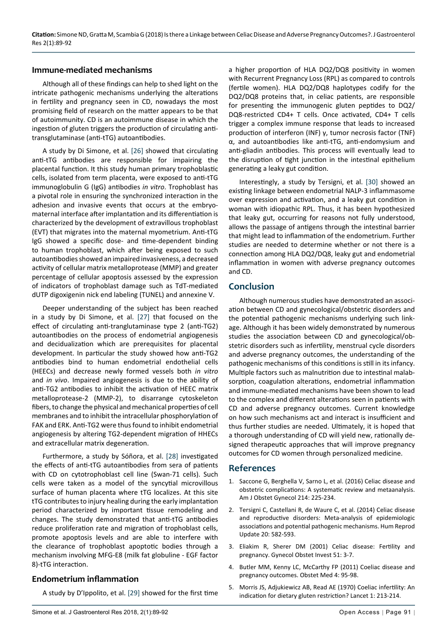#### **Immune-mediated mechanisms**

Although all of these findings can help to shed light on the intricate pathogenic mechanisms underlying the alterations in fertility and pregnancy seen in CD, nowadays the most promising field of research on the matter appears to be that of autoimmunity. CD is an autoimmune disease in which the ingestion of gluten triggers the production of circulating antitransglutaminase (anti-tTG) autoantibodies.

A study by Di Simone, et al. [[26\]](#page-3-20) showed that circulating anti-tTG antibodies are responsible for impairing the placental function. It this study human primary trophoblastic cells, isolated from term placenta, were exposed to anti-tTG immunoglobulin G (IgG) antibodies *in vitro*. Trophoblast has a pivotal role in ensuring the synchronized interaction in the adhesion and invasive events that occurs at the embryomaternal interface after implantation and its differentiation is characterized by the development of extravillous trophoblast (EVT) that migrates into the maternal myometrium. Anti-tTG IgG showed a specific dose- and time-dependent binding to human trophoblast, which after being exposed to such autoantibodies showed an impaired invasiveness, a decreased activity of cellular matrix metalloprotease (MMP) and greater percentage of cellular apoptosis assessed by the expression of indicators of trophoblast damage such as TdT-mediated dUTP digoxigenin nick end labeling (TUNEL) and annexine V.

Deeper understanding of the subject has been reached in a study by Di Simone, et al. [\[27](#page-3-21)] that focused on the effect of circulating anti-tranglutaminase type 2 (anti-TG2) autoantibodies on the process of endometrial angiogenesis and decidualization which are prerequisites for placental development. In particular the study showed how anti-TG2 antibodies bind to human endometrial endothelial cells (HEECs) and decrease newly formed vessels both *in vitro* and *in vivo*. Impaired angiogenesis is due to the ability of anti-TG2 antibodies to inhibit the activation of HEEC matrix metalloprotease-2 (MMP-2), to disarrange cytoskeleton fibers, to change the physical and mechanical properties of cell membranes and to inhibit the intracellular phosphorylation of FAK and ERK. Anti-TG2 were thus found to inhibit endometrial angiogenesis by altering TG2-dependent migration of HHECs and extracellular matrix degeneration.

Furthermore, a study by Sóñora, et al. [\[28](#page-3-22)] investigated the effects of anti-tTG autoantibodies from sera of patients with CD on cytotrophoblast cell line (Swan-71 cells). Such cells were taken as a model of the syncytial microvillous surface of human placenta where tTG localizes. At this site tTG contributes to injury healing during the early implantation period characterized by important tissue remodeling and changes. The study demonstrated that anti-tTG antibodies reduce proliferation rate and migration of trophoblast cells, promote apoptosis levels and are able to interfere with the clearance of trophoblast apoptotic bodies through a mechanism involving MFG-E8 (milk fat globuline - EGF factor 8)-tTG interaction.

#### **Endometrium inflammation**

A study by D'Ippolito, et al. [\[29](#page-3-23)] showed for the first time

a higher proportion of HLA DQ2/DQ8 positivity in women with Recurrent Pregnancy Loss (RPL) as compared to controls (fertile women). HLA DQ2/DQ8 haplotypes codify for the DQ2/DQ8 proteins that, in celiac patients, are responsible for presenting the immunogenic gluten peptides to DQ2/ DQ8-restricted CD4+ T cells. Once activated, CD4+ T cells trigger a complex immune response that leads to increased production of interferon (INF) γ, tumor necrosis factor (TNF) α, and autoantibodies like anti-tTG, anti-endomysium and anti-gliadin antibodies. This process will eventually lead to the disruption of tight junction in the intestinal epithelium generating a leaky gut condition.

Interestingly, a study by Tersigni, et al. [\[30](#page-3-19)] showed an existing linkage between endometrial NALP-3 inflammasome over expression and activation, and a leaky gut condition in woman with idiopathic RPL. Thus, it has been hypothesized that leaky gut, occurring for reasons not fully understood, allows the passage of antigens through the intestinal barrier that might lead to inflammation of the endometrium. Further studies are needed to determine whether or not there is a connection among HLA DQ2/DQ8, leaky gut and endometrial inflammation in women with adverse pregnancy outcomes and CD.

#### **Conclusion**

Although numerous studies have demonstrated an association between CD and gynecological/obstetric disorders and the potential pathogenic mechanisms underlying such linkage. Although it has been widely demonstrated by numerous studies the association between CD and gynecological/obstetric disorders such as infertility, menstrual cycle disorders and adverse pregnancy outcomes, the understanding of the pathogenic mechanisms of this conditions is still in its infancy. Multiple factors such as malnutrition due to intestinal malabsorption, coagulation alterations, endometrial inflammation and immune-mediated mechanisms have been shown to lead to the complex and different alterations seen in patients with CD and adverse pregnancy outcomes. Current knowledge on how such mechanisms act and interact is insufficient and thus further studies are needed. Ultimately, it is hoped that a thorough understanding of CD will yield new, rationally designed therapeutic approaches that will improve pregnancy outcomes for CD women through personalized medicine.

#### **References**

- <span id="page-2-0"></span>1. [Saccone G, Berghella V, Sarno L, et al. \(2016\) Celiac disease and](https://www.ncbi.nlm.nih.gov/pubmed/26432464)  [obstetric complications: A systematic review and metaanalysis.](https://www.ncbi.nlm.nih.gov/pubmed/26432464)  [Am J Obstet Gynecol 214: 225-234.](https://www.ncbi.nlm.nih.gov/pubmed/26432464)
- <span id="page-2-1"></span>2. [Tersigni C, Castellani R, de Waure C, et al. \(2014\) Celiac disease](https://www.ncbi.nlm.nih.gov/pubmed/24619876)  [and reproductive disorders: Meta-analysis of epidemiologic](https://www.ncbi.nlm.nih.gov/pubmed/24619876)  [associations and potential pathogenic mechanisms. Hum Reprod](https://www.ncbi.nlm.nih.gov/pubmed/24619876)  [Update 20: 582-593.](https://www.ncbi.nlm.nih.gov/pubmed/24619876)
- <span id="page-2-2"></span>3. [Eliakim R, Sherer DM \(2001\) Celiac disease: Fertility and](https://www.ncbi.nlm.nih.gov/pubmed/11150866)  [pregnancy. Gynecol Obstet Invest 51: 3-7.](https://www.ncbi.nlm.nih.gov/pubmed/11150866)
- <span id="page-2-3"></span>4. [Butler MM, Kenny LC, McCarthy FP \(2011\) Coeliac disease and](https://www.ncbi.nlm.nih.gov/pmc/articles/PMC4989603/)  [pregnancy outcomes. Obstet Med 4: 95-98.](https://www.ncbi.nlm.nih.gov/pmc/articles/PMC4989603/)
- <span id="page-2-4"></span>5. [Morris JS, Adjukiewicz AB, Read AE \(1970\) Coeliac infertility: An](https://www.ncbi.nlm.nih.gov/pubmed/4189008)  [indication for dietary gluten restriction? Lancet 1: 213-214.](https://www.ncbi.nlm.nih.gov/pubmed/4189008)